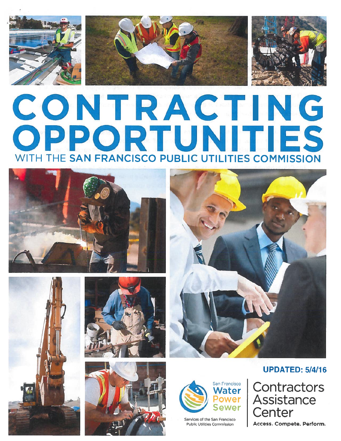





# CONTRACTING ORTUNITIES WITH THE SAN FRANCISCO PUBLIC UTILITIES COMMISSION













Services of the San Francisco

# UPDATED: 5/4/16

**Contractors Assistance Center** 

Public Utilities Commission | Access. Compete. Perform.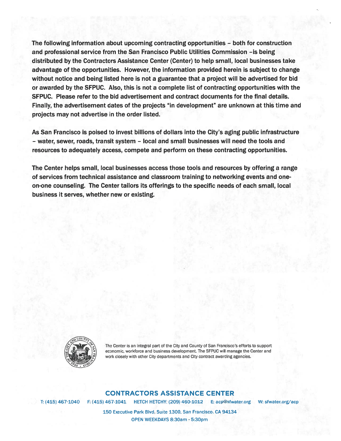The following information about upcoming contracting opportunities - both for construction and professional service from the San Francisco Public Utilities Commission —is being distributed by the Contractors Assistance Center (Center) to help small, local businesses take advantage of the opportunities. However, the information provided herein is subject to change without notice and being listed here is not a guarantee that a project will be advertised for bid or awarded by the SFPUC. Also, this is not a complete list of contracting opportunities with the SFPUC. Please refer to the bid advertisement and contract documents for the final details. Finally, the advertisement dates of the projects "in development" are unknown at this time and projects may not advertise in the order listed.

As San Francisco is poised to invest billions of dollars into the City's aging public infrastructure — water, sewer, roads, transit system — local and small businesses will need the tools and resources to adequately access, compete and perform on these contracting opportunities.

The Center helps small, local businesses access those tools and resources by offering a range of services from technical assistance and classroom training to networking events and oneon-one counseling. The Center tailors its offerings to the specific needs of each small, local business it serves, whether new or existing.



The Center is an integral part of the City and County of San Francisco's efforts to support economic, workforce and business development. The SFPUC will manage the Center and work closely with other City departments and City contract awarding agencies.

#### CONTRACTORS ASSISTANCE CENTER

T: (415) 467-1040 F: (415) 467-1041 <sup>H</sup> ETCH HETCHY: (209) 460-1012 E: acp@sfwater.org W: sfwater.org/acp

150 Executive Park BIvd, Suite 1300, San Francisco, CA 94134 OPEN WEEKDAYS 8:30am - 5:30pm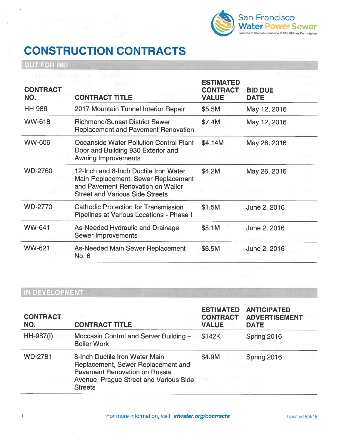

# CONSTRUCTION CONTRACTS

OUT FOR BID

| <b>CONTRACT</b><br>NO. | <b>CONTRACT TITLE</b>                                                                                                                                       | <b>ESTIMATED</b><br><b>CONTRACT</b><br><b>VALUE</b> | <b>BID DUE</b><br><b>DATE</b> |
|------------------------|-------------------------------------------------------------------------------------------------------------------------------------------------------------|-----------------------------------------------------|-------------------------------|
| <b>HH-986</b>          | 2017 Mountain Tunnel Interior Repair                                                                                                                        | \$5.5M                                              | May 12, 2016                  |
| <b>WW-618</b>          | <b>Richmond/Sunset District Sewer</b><br><b>Replacement and Pavement Renovation</b>                                                                         | \$7.4M                                              | May 12, 2016                  |
| <b>WW-606</b>          | Oceanside Water Pollution Control Plant<br>Door and Building 930 Exterior and<br><b>Awning Improvements</b>                                                 | \$4.14M                                             | May 26, 2016                  |
| <b>WD-2760</b>         | 12-Inch and 8-Inch Ductile Iron Water<br>Main Replacement, Sewer Replacement<br>and Pavement Renovation on Waller<br><b>Street and Various Side Streets</b> | \$4.2M                                              | May 26, 2016                  |
| <b>WD-2770</b>         | <b>Cathodic Protection for Transmission</b><br>Pipelines at Various Locations - Phase I                                                                     | \$1.5M                                              | June 2, 2016                  |
| <b>WW-641</b>          | As-Needed Hydraulic and Drainage<br><b>Sewer Improvements</b>                                                                                               | \$5.1M                                              | June 2, 2016                  |
| WW-621                 | As-Needed Main Sewer Replacement<br>No. 6                                                                                                                   | \$8.5M                                              | June 2, 2016                  |

| <b>CONTRACT</b><br>NO. | <b>CONTRACT TITLE</b>                                                                                                                                             | <b>ESTIMATED</b><br><b>CONTRACT</b><br><b>VALUE</b> | <b>ANTICIPATED</b><br><b>ADVERTISEMENT</b><br><b>DATE</b> |
|------------------------|-------------------------------------------------------------------------------------------------------------------------------------------------------------------|-----------------------------------------------------|-----------------------------------------------------------|
| HH-987(I)              | Moccasin Control and Server Building -<br><b>Boiler Work</b>                                                                                                      | \$142K                                              | Spring 2016                                               |
| <b>WD-2781</b>         | 8-Inch Ductile Iron Water Main<br>Replacement, Sewer Replacement and<br>Pavement Renovation on Russia<br>Avenue, Prague Street and Various Side<br><b>Streets</b> | \$4.9M                                              | Spring 2016                                               |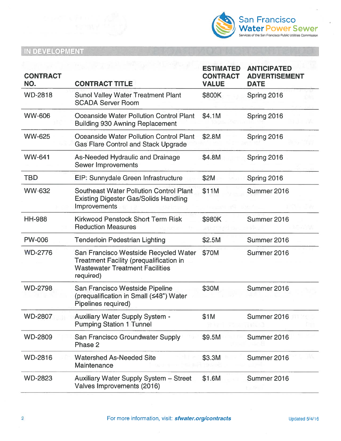

| <b>CONTRACT</b><br>NO. | <b>CONTRACT TITLE</b>                                                                                                                          | <b>ESTIMATED</b><br><b>CONTRACT</b><br><b>VALUE</b> | <b>ANTICIPATED</b><br><b>ADVERTISEMENT</b><br><b>DATE</b> |
|------------------------|------------------------------------------------------------------------------------------------------------------------------------------------|-----------------------------------------------------|-----------------------------------------------------------|
| <b>WD-2818</b>         | <b>Sunol Valley Water Treatment Plant</b><br><b>SCADA Server Room</b>                                                                          | \$800K                                              | Spring 2016                                               |
| <b>WW-606</b>          | <b>Oceanside Water Pollution Control Plant</b><br><b>Building 930 Awning Replacement</b>                                                       | \$4.1M                                              | Spring 2016                                               |
| <b>WW-625</b>          | Oceanside Water Pollution Control Plant<br><b>Gas Flare Control and Stack Upgrade</b>                                                          | \$2.8M                                              | Spring 2016                                               |
| <b>WW-641</b>          | As-Needed Hydraulic and Drainage<br><b>Sewer Improvements</b>                                                                                  | \$4.8M                                              | Spring 2016                                               |
| <b>TBD</b>             | EIP: Sunnydale Green Infrastructure                                                                                                            | \$2M                                                | Spring 2016                                               |
| <b>WW-632</b>          | <b>Southeast Water Pollution Control Plant</b><br><b>Existing Digester Gas/Solids Handling</b><br>Improvements                                 | \$11M                                               | Summer 2016                                               |
| <b>HH-988</b>          | <b>Kirkwood Penstock Short Term Risk</b><br><b>Reduction Measures</b>                                                                          | \$980K                                              | Summer 2016                                               |
| <b>PW-006</b>          | <b>Tenderloin Pedestrian Lighting</b>                                                                                                          | \$2.5M                                              | Summer 2016                                               |
| <b>WD-2776</b>         | San Francisco Westside Recycled Water<br><b>Treatment Facility (prequalification in</b><br><b>Wastewater Treatment Facilities</b><br>required) | \$70M                                               | Summer 2016                                               |
| <b>WD-2798</b>         | San Francisco Westside Pipeline<br>(prequalification in Small (≤48") Water<br>Pipelines required)                                              | \$30M                                               | Summer 2016                                               |
| <b>WD-2807</b>         | <b>Auxiliary Water Supply System -</b><br><b>Pumping Station 1 Tunnel</b>                                                                      | \$1M                                                | Summer 2016                                               |
| <b>WD-2809</b>         | San Francisco Groundwater Supply<br>Phase 2                                                                                                    | \$9.5M                                              | Summer 2016                                               |
| <b>WD-2816</b>         | <b>Watershed As-Needed Site</b><br>Maintenance                                                                                                 | \$3.3M                                              | Summer 2016                                               |
| <b>WD-2823</b>         | Auxiliary Water Supply System - Street<br>Valves Improvements (2016)                                                                           | \$1.6M                                              | Summer 2016                                               |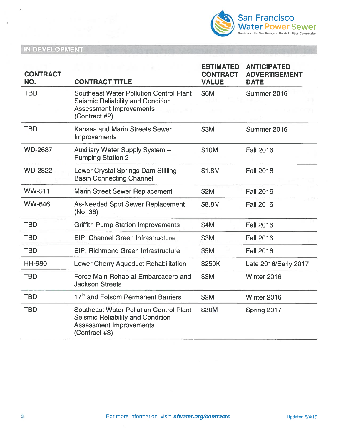

| <b>CONTRACT</b> |                                                                                                                                        | <b>ESTIMATED</b><br><b>CONTRACT</b> | <b>ANTICIPATED</b><br><b>ADVERTISEMENT</b> |
|-----------------|----------------------------------------------------------------------------------------------------------------------------------------|-------------------------------------|--------------------------------------------|
| NO.             | <b>CONTRACT TITLE</b>                                                                                                                  | <b>VALUE</b>                        | <b>DATE</b>                                |
| <b>TBD</b>      | <b>Southeast Water Pollution Control Plant</b><br>Seismic Reliability and Condition<br><b>Assessment Improvements</b><br>(Contract #2) | \$6M                                | Summer 2016                                |
| <b>TBD</b>      | <b>Kansas and Marin Streets Sewer</b><br>Improvements                                                                                  | \$3M                                | Summer 2016                                |
| <b>WD-2687</b>  | Auxiliary Water Supply System -<br><b>Pumping Station 2</b>                                                                            | \$10M                               | <b>Fall 2016</b>                           |
| <b>WD-2822</b>  | Lower Crystal Springs Dam Stilling<br><b>Basin Connecting Channel</b>                                                                  | \$1.8M                              | <b>Fall 2016</b>                           |
| <b>WW-511</b>   | <b>Marin Street Sewer Replacement</b>                                                                                                  | \$2M                                | <b>Fall 2016</b>                           |
| <b>WW-646</b>   | <b>As-Needed Spot Sewer Replacement</b><br>(No. 36)                                                                                    | \$8.8M                              | <b>Fall 2016</b>                           |
| <b>TBD</b>      | <b>Griffith Pump Station Improvements</b>                                                                                              | \$4M                                | <b>Fall 2016</b>                           |
| <b>TBD</b>      | EIP: Channel Green Infrastructure                                                                                                      | \$3M                                | <b>Fall 2016</b>                           |
| <b>TBD</b>      | EIP: Richmond Green Infrastructure                                                                                                     | \$5M                                | <b>Fall 2016</b>                           |
| <b>HH-980</b>   | Lower Cherry Aqueduct Rehabilitation                                                                                                   | \$250K                              | Late 2016/Early 2017                       |
| <b>TBD</b>      | Force Main Rehab at Embarcadero and<br><b>Jackson Streets</b>                                                                          | \$3M                                | Winter 2016                                |
| <b>TBD</b>      | 17 <sup>th</sup> and Folsom Permanent Barriers                                                                                         | \$2M                                | Winter 2016                                |
| <b>TBD</b>      | <b>Southeast Water Pollution Control Plant</b><br>Seismic Reliability and Condition<br><b>Assessment Improvements</b><br>(Contract #3) | \$30M                               | Spring 2017                                |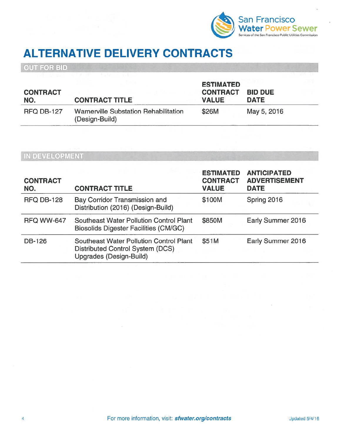

# ALTERNATIVE DELIVERY CONTRACTS

OUT FOR BID

| <b>CONTRACT</b><br>NO. | <b>CONTRACT TITLE</b>                                   | <b>ESTIMATED</b><br><b>CONTRACT</b><br><b>VALUE</b> | <b>BID DUE</b><br><b>DATE</b> |  |
|------------------------|---------------------------------------------------------|-----------------------------------------------------|-------------------------------|--|
| <b>RFQ DB-127</b>      | Warnerville Substation Rehabilitation<br>(Design-Build) | \$26M                                               | May 5, 2016                   |  |

| <b>CONTRACT</b><br>NO. | <b>CONTRACT TITLE</b>                                                                                         | <b>ESTIMATED</b><br><b>CONTRACT</b><br><b>VALUE</b> | <b>ANTICIPATED</b><br><b>ADVERTISEMENT</b><br><b>DATE</b> |
|------------------------|---------------------------------------------------------------------------------------------------------------|-----------------------------------------------------|-----------------------------------------------------------|
| <b>RFQ DB-128</b>      | <b>Bay Corridor Transmission and</b><br>Distribution (2016) (Design-Build)                                    | \$100M                                              | Spring 2016                                               |
| <b>RFQ WW-647</b>      | <b>Southeast Water Pollution Control Plant</b><br><b>Biosolids Digester Facilities (CM/GC)</b>                | \$850M                                              | Early Summer 2016                                         |
| <b>DB-126</b>          | <b>Southeast Water Pollution Control Plant</b><br>Distributed Control System (DCS)<br>Upgrades (Design-Build) | \$51M                                               | Early Summer 2016                                         |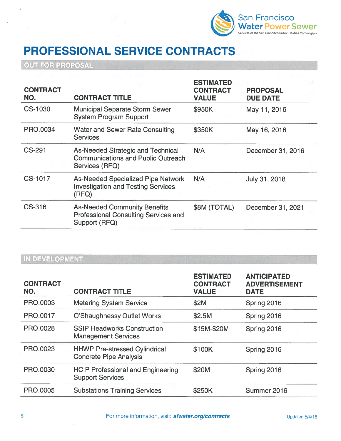

# PROFESSIONAL SERVICE CONTRACTS

OUT FOR PROPOSAL

| <b>CONTRACT</b><br>NO. | <b>CONTRACT TITLE</b>                                                                               | <b>ESTIMATED</b><br><b>CONTRACT</b><br><b>VALUE</b> | <b>PROPOSAL</b><br><b>DUE DATE</b> |
|------------------------|-----------------------------------------------------------------------------------------------------|-----------------------------------------------------|------------------------------------|
| CS-1030                | <b>Municipal Separate Storm Sewer</b><br><b>System Program Support</b>                              | \$950K                                              | May 11, 2016                       |
| PRO.0034               | <b>Water and Sewer Rate Consulting</b><br><b>Services</b>                                           | \$350K                                              | May 16, 2016                       |
| CS-291                 | As-Needed Strategic and Technical<br><b>Communications and Public Outreach</b><br>Services (RFQ)    | N/A                                                 | December 31, 2016                  |
| CS-1017                | <b>As-Needed Specialized Pipe Network</b><br><b>Investigation and Testing Services</b><br>(RFQ)     | N/A                                                 | July 31, 2018                      |
| CS-316                 | <b>As-Needed Community Benefits</b><br><b>Professional Consulting Services and</b><br>Support (RFQ) | \$8M (TOTAL)                                        | December 31, 2021                  |
|                        |                                                                                                     |                                                     |                                    |

| <b>CONTRACT</b><br>NO. | <b>CONTRACT TITLE</b>                                                 | <b>ESTIMATED</b><br><b>CONTRACT</b><br><b>VALUE</b> | <b>ANTICIPATED</b><br><b>ADVERTISEMENT</b><br><b>DATE</b> |
|------------------------|-----------------------------------------------------------------------|-----------------------------------------------------|-----------------------------------------------------------|
| PRO.0003               | <b>Metering System Service</b>                                        | \$2M                                                | Spring 2016                                               |
| PRO.0017               | O'Shaughnessy Outlet Works                                            | \$2.5M                                              | Spring 2016                                               |
| PRO.0028               | <b>SSIP Headworks Construction</b><br><b>Management Services</b>      | \$15M-\$20M                                         | Spring 2016                                               |
| PRO.0023               | <b>HHWP Pre-stressed Cylindrical</b><br><b>Concrete Pipe Analysis</b> | \$100K                                              | Spring 2016                                               |
| PRO.0030               | <b>HCIP Professional and Engineering</b><br><b>Support Services</b>   | \$20M                                               | Spring 2016                                               |
| PRO.0005               | <b>Substations Training Services</b>                                  | \$250K                                              | Summer 2016                                               |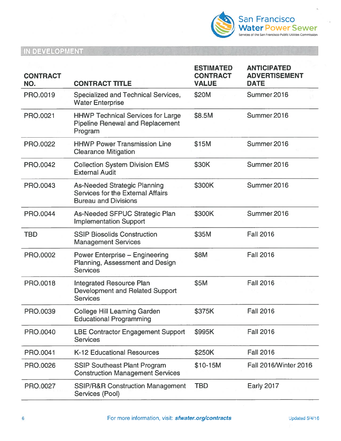

| <b>CONTRACT</b> |                                                                                                         | <b>ESTIMATED</b><br><b>CONTRACT</b> | <b>ANTICIPATED</b><br><b>ADVERTISEMENT</b> |
|-----------------|---------------------------------------------------------------------------------------------------------|-------------------------------------|--------------------------------------------|
| NO.             | <b>CONTRACT TITLE</b>                                                                                   | <b>VALUE</b>                        | <b>DATE</b>                                |
| PRO.0019        | Specialized and Technical Services,<br><b>Water Enterprise</b>                                          | \$20M                               | Summer 2016                                |
| PRO.0021        | <b>HHWP Technical Services for Large</b><br><b>Pipeline Renewal and Replacement</b><br>Program          | \$8.5M                              | Summer 2016                                |
| PRO.0022        | <b>HHWP Power Transmission Line</b><br><b>Clearance Mitigation</b>                                      | \$15M                               | Summer 2016                                |
| PRO.0042        | <b>Collection System Division EMS</b><br><b>External Audit</b>                                          | \$30K                               | Summer 2016                                |
| <b>PRO.0043</b> | <b>As-Needed Strategic Planning</b><br>Services for the External Affairs<br><b>Bureau and Divisions</b> | \$300K                              | Summer 2016                                |
| PRO.0044        | As-Needed SFPUC Strategic Plan<br><b>Implementation Support</b>                                         | \$300K                              | Summer 2016                                |
| <b>TBD</b>      | <b>SSIP Biosolids Construction</b><br><b>Management Services</b>                                        | \$35M                               | <b>Fall 2016</b>                           |
| PRO.0002        | <b>Power Enterprise - Engineering</b><br>Planning, Assessment and Design<br><b>Services</b>             | \$8M                                | <b>Fall 2016</b>                           |
| PRO.0018        | <b>Integrated Resource Plan</b><br>Development and Related Support<br><b>Services</b>                   | \$5M                                | <b>Fall 2016</b>                           |
| PRO.0039        | <b>College Hill Learning Garden</b><br><b>Educational Programming</b>                                   | \$375K                              | <b>Fall 2016</b>                           |
| PRO.0040        | <b>LBE Contractor Engagement Support</b><br><b>Services</b>                                             | \$995K                              | <b>Fall 2016</b>                           |
| PRO.0041        | <b>K-12 Educational Resources</b>                                                                       | \$250K                              | <b>Fall 2016</b>                           |
| PRO.0026        | <b>SSIP Southeast Plant Program</b><br><b>Construction Management Services</b>                          | \$10-15M                            | <b>Fall 2016/Winter 2016</b>               |
| PRO.0027        | <b>SSIP/R&amp;R Construction Management</b><br>Services (Pool)                                          | <b>TBD</b>                          | <b>Early 2017</b>                          |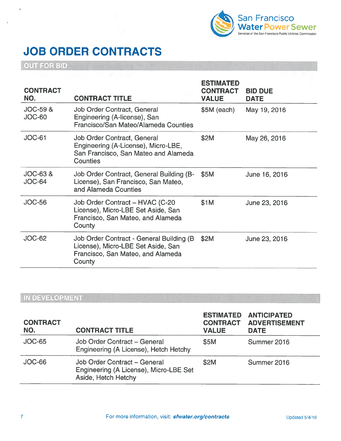

# JOB ORDER CONTRACTS

OUT FOR BID

| <b>CONTRACT</b><br>NO.               | <b>CONTRACT TITLE</b>                                                                                                          | <b>ESTIMATED</b><br><b>CONTRACT</b><br><b>VALUE</b> | <b>BID DUE</b><br><b>DATE</b> |
|--------------------------------------|--------------------------------------------------------------------------------------------------------------------------------|-----------------------------------------------------|-------------------------------|
| <b>JOC-59 &amp;</b><br>JOC-60        | Job Order Contract, General<br>Engineering (A-license), San<br>Francisco/San Mateo/Alameda Counties                            | \$5M (each)                                         | May 19, 2016                  |
| JOC-61                               | Job Order Contract, General<br>Engineering (A-License), Micro-LBE,<br>San Francisco, San Mateo and Alameda<br>Counties         | \$2M                                                | May 26, 2016                  |
| <b>JOC-63 &amp;</b><br><b>JOC-64</b> | Job Order Contract, General Building (B-<br>License), San Francisco, San Mateo,<br>and Alameda Counties                        | \$5M                                                | June 16, 2016                 |
| <b>JOC-56</b>                        | Job Order Contract - HVAC (C-20<br>License), Micro-LBE Set Aside, San<br>Francisco, San Mateo, and Alameda<br>County           | \$1M                                                | June 23, 2016                 |
| <b>JOC-62</b>                        | Job Order Contract - General Building (B)<br>License), Micro-LBE Set Aside, San<br>Francisco, San Mateo, and Alameda<br>County | \$2M                                                | June 23, 2016                 |

| <b>CONTRACT</b><br>NO. | <b>CONTRACT TITLE</b>                                                                         | <b>ESTIMATED</b><br><b>CONTRACT</b><br><b>VALUE</b> | <b>ANTICIPATED</b><br><b>ADVERTISEMENT</b><br><b>DATE</b> |
|------------------------|-----------------------------------------------------------------------------------------------|-----------------------------------------------------|-----------------------------------------------------------|
| $JOC-65$               | Job Order Contract - General<br>Engineering (A License), Hetch Hetchy                         | \$5M                                                | Summer 2016                                               |
| JOC-66                 | Job Order Contract - General<br>Engineering (A License), Micro-LBE Set<br>Aside, Hetch Hetchy | \$2M                                                | Summer 2016                                               |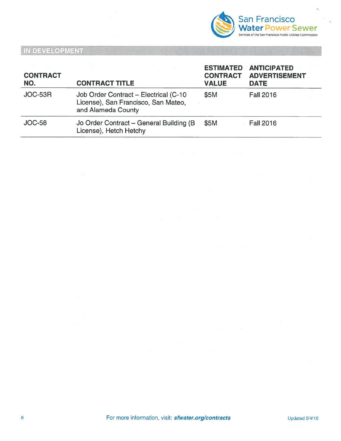

| <b>CONTRACT</b><br>NO. | <b>CONTRACT TITLE</b>                                                                              | <b>ESTIMATED</b><br><b>CONTRACT</b><br><b>VALUE</b> | <b>ANTICIPATED</b><br><b>ADVERTISEMENT</b><br><b>DATE</b> |  |
|------------------------|----------------------------------------------------------------------------------------------------|-----------------------------------------------------|-----------------------------------------------------------|--|
| JOC-53R                | Job Order Contract - Electrical (C-10<br>License), San Francisco, San Mateo,<br>and Alameda County | \$5M                                                | <b>Fall 2016</b>                                          |  |
| <b>JOC-58</b>          | Jo Order Contract - General Building (B)<br>License), Hetch Hetchy                                 | \$5M                                                | <b>Fall 2016</b>                                          |  |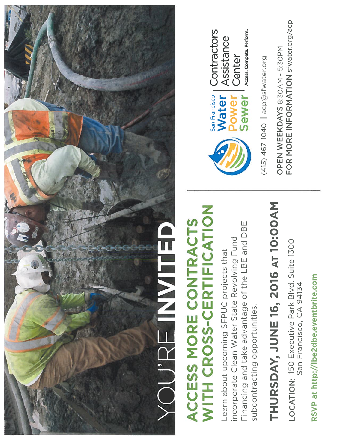

# WITH CROSS-CERTIFICATION WITH CROSS-CERTIFICATION ACCESS MORE CONTRACTS ACCESS MORE CONTRACTS

Financing and take advantage of the LBE and DBE Financing and take advantage of the LBE and DBE incorporate Clean Water State Revolving Fund incorporate Clean Water State Revolving Fund Learn about upcoming SFPUC projects that Learn about upcoming SFPUC projects that subcontracting opportunities. subcontracting opportunities.

# THURSDAY, JUNE 16, 2016 AT 10:00AM THURSDAY, JUNE 16, 2016 AT 10:00AM

LOCATION: 150 Executive Park Blvd, Suite 1300<br>San Francisco, CA 94134 LOCATION: 150 Executive Park BIvd, Suite 1300 San Francisco, CA 94134

RSVP at http://lbe2dbe.eventbrite.com RSVP at http://lbe2dbe.eventbrite.com



Access. Compete. Perform. Access. Compete. Perform. Assistance

 $(415)$  467-1040 acp@sfwater.org (415) 467-1040  $\mid$  acp@sfwater.org

FOR MORE INFORMATION sfwater.org/acp FOR MORE IN FORMATION sfwater.org/acpOPEN WEEKDAYS 8:30AM - 5:30PM OPEN WEEKDAYS 8:30AM - 5:30PM